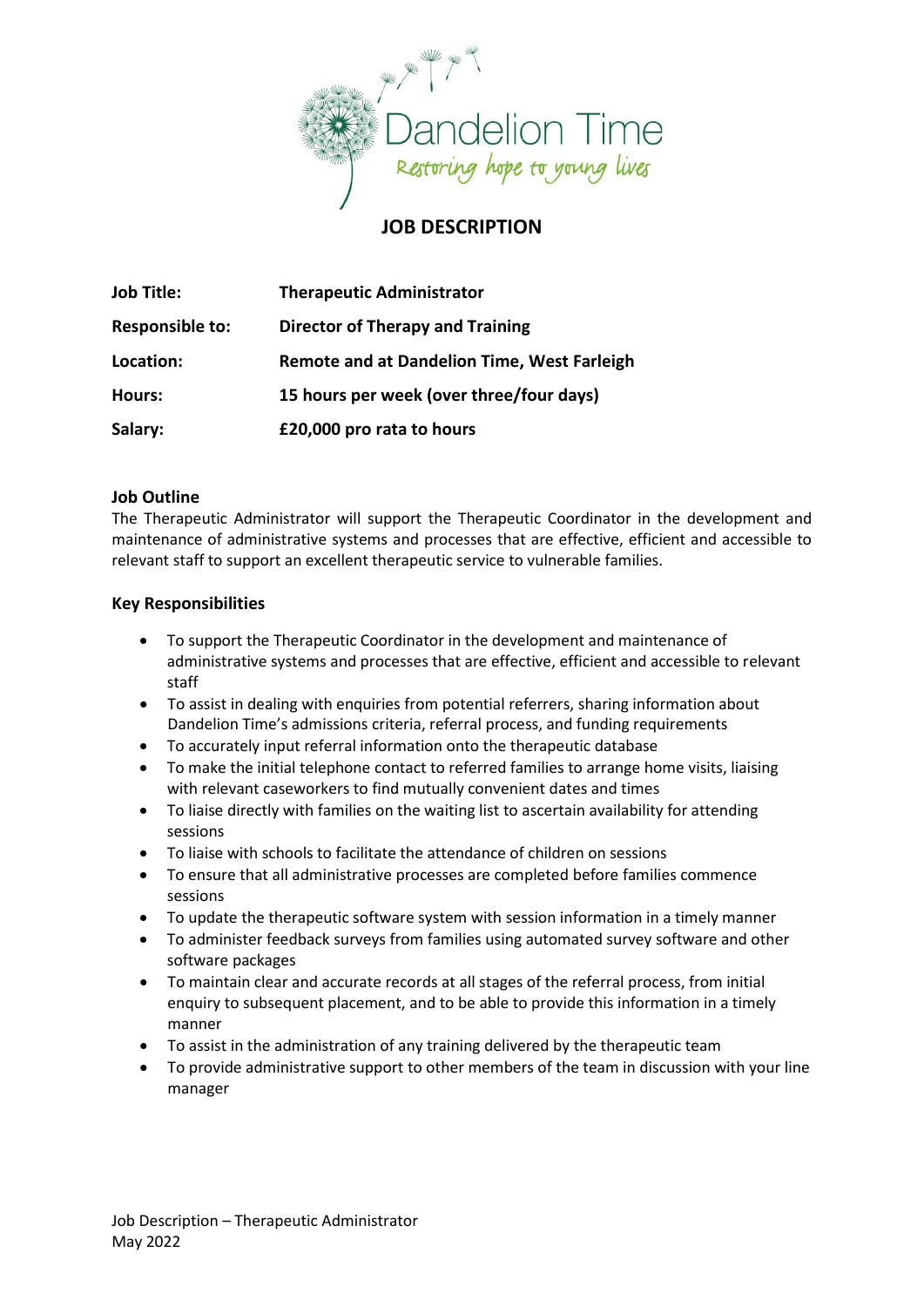

# **JOB DESCRIPTION**

| <b>Job Title:</b>      | <b>Therapeutic Administrator</b>                   |
|------------------------|----------------------------------------------------|
| <b>Responsible to:</b> | <b>Director of Therapy and Training</b>            |
| Location:              | <b>Remote and at Dandelion Time, West Farleigh</b> |
| Hours:                 | 15 hours per week (over three/four days)           |
| Salary:                | £20,000 pro rata to hours                          |

#### **Job Outline**

The Therapeutic Administrator will support the Therapeutic Coordinator in the development and maintenance of administrative systems and processes that are effective, efficient and accessible to relevant staff to support an excellent therapeutic service to vulnerable families.

## **Key Responsibilities**

- To support the Therapeutic Coordinator in the development and maintenance of administrative systems and processes that are effective, efficient and accessible to relevant staff
- To assist in dealing with enquiries from potential referrers, sharing information about Dandelion Time's admissions criteria, referral process, and funding requirements
- To accurately input referral information onto the therapeutic database
- To make the initial telephone contact to referred families to arrange home visits, liaising with relevant caseworkers to find mutually convenient dates and times
- To liaise directly with families on the waiting list to ascertain availability for attending sessions
- To liaise with schools to facilitate the attendance of children on sessions
- To ensure that all administrative processes are completed before families commence sessions
- To update the therapeutic software system with session information in a timely manner
- To administer feedback surveys from families using automated survey software and other software packages
- To maintain clear and accurate records at all stages of the referral process, from initial enquiry to subsequent placement, and to be able to provide this information in a timely manner
- To assist in the administration of any training delivered by the therapeutic team
- To provide administrative support to other members of the team in discussion with your line manager